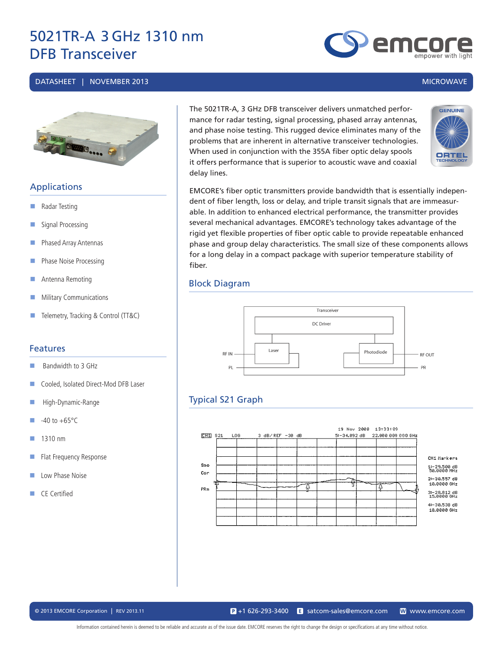#### DATASHEET | NOVEMBER 2013 MICROWAVE



### **Applications**

- Radar Testing
- Signal Processing
- Phased Array Antennas
- **Phase Noise Processing**
- Antenna Remoting
- **Military Communications**
- Telemetry, Tracking & Control (TT&C)

#### Features

- $\blacksquare$  Bandwidth to 3 GHz
- Cooled, Isolated Direct-Mod DFB Laser
- High-Dynamic-Range
- $\blacksquare$  -40 to +65°C
- $1310 \text{ nm}$
- Flat Frequency Response
- **Low Phase Noise**
- CE Certified

The 5021TR-A, 3 GHz DFB transceiver delivers unmatched performance for radar testing, signal processing, phased array antennas, and phase noise testing. This rugged device eliminates many of the problems that are inherent in alternative transceiver technologies. When used in conjunction with the 355A fiber optic delay spools it offers performance that is superior to acoustic wave and coaxial delay lines.



EMCORE's fiber optic transmitters provide bandwidth that is essentially independent of fiber length, loss or delay, and triple transit signals that are immeasurable. In addition to enhanced electrical performance, the transmitter provides several mechanical advantages. EMCORE's technology takes advantage of the rigid yet flexible properties of fiber optic cable to provide repeatable enhanced phase and group delay characteristics. The small size of these components allows for a long delay in a compact package with superior temperature stability of fiber.

#### Block Diagram



### Typical S21 Graph



Information contained herein is deemed to be reliable and accurate as of the issue date. EMCORE reserves the right to change the design or specifications at any time without notice.

emc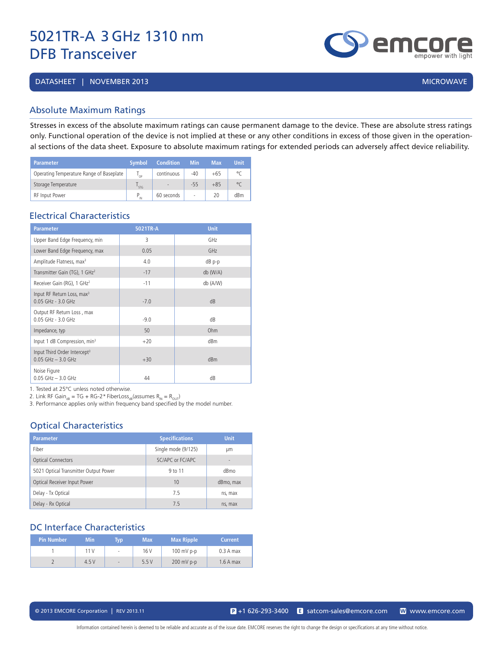DATASHEET | NOVEMBER 2013 | MICROWAVE | 2009 | MICROWAVE | 2009 | MICROWAVE | 2009 | MICROWAVE

#### Absolute Maximum Ratings

Stresses in excess of the absolute maximum ratings can cause permanent damage to the device. These are absolute stress ratings only. Functional operation of the device is not implied at these or any other conditions in excess of those given in the operational sections of the data sheet. Exposure to absolute maximum ratings for extended periods can adversely affect device reliability.

| <b>Parameter</b>                         | Symbol                  | <b>Condition</b>         | <b>Min</b> | <b>Max</b> | <b>Unit</b> |
|------------------------------------------|-------------------------|--------------------------|------------|------------|-------------|
| Operating Temperature Range of Baseplate | י∩ <sup>ו</sup>         | continuous               | $-40$      | $+65$      | ۹٢          |
| Storage Temperature                      | $\overline{\text{SIG}}$ | $\overline{\phantom{a}}$ | $-55$      | $+85$      | $^{\circ}C$ |
| RF Input Power                           |                         | 60 seconds               | ٠          | 20         | dBm         |

#### Electrical Characteristics

| <b>Parameter</b>                                                   | 5021TR-A | <b>Unit</b>     |
|--------------------------------------------------------------------|----------|-----------------|
| Upper Band Edge Frequency, min                                     | 3        | GH <sub>7</sub> |
| Lower Band Edge Frequency, max                                     | 0.05     | GHz             |
| Amplitude Flatness, max <sup>3</sup>                               | 4.0      | dB p-p          |
| Transmitter Gain (TG), $1 \text{ GHz}^2$                           | $-17$    | db (W/A)        |
| Receiver Gain (RG), 1 GHz <sup>2</sup>                             | $-11$    | db (A/W)        |
| Input RF Return Loss, max <sup>3</sup><br>0.05 GHz - 3.0 GHz       | $-7.0$   | dB              |
| Output RF Return Loss, max<br>$0.05$ GHz - $3.0$ GHz               | $-9.0$   | dB              |
| Impedance, typ                                                     | 50       | Ohm             |
| Input 1 dB Compression, min <sup>3</sup>                           | $+20$    | dBm             |
| Input Third Order Intercept <sup>3</sup><br>$0.05$ GHz $-$ 3.0 GHz | $+30$    | dBm             |
| Noise Figure<br>$0.05$ GHz $-3.0$ GHz                              | 44       | dB              |

1. Tested at 25°C unless noted otherwise.

2. Link RF Gain<sub>dR</sub> = TG + RG-2\* FiberLoss<sub>dR</sub>(assumes R<sub>IN</sub> = R<sub>OUT</sub>)

3. Performance applies only within frequency band specified by the model number.

### Optical Characteristics

| <b>Parameter</b>                      | <b>Specifications</b> | <b>Unit</b>              |
|---------------------------------------|-----------------------|--------------------------|
| Fiber                                 | Single mode (9/125)   | μm                       |
| <b>Optical Connectors</b>             | SC/APC or FC/APC      | $\overline{\phantom{0}}$ |
| 5021 Optical Transmitter Output Power | 9 to 11               | dBmo                     |
| Optical Receiver Input Power          | 10                    | dBmo, max                |
| Delay - Tx Optical                    | 75                    | ns, max                  |
| Delay - Rx Optical                    | 7.5                   | ns, max                  |

#### DC Interface Characteristics

| Pin Number | <b>Min</b> | <b>TVD</b>  | <b>Max</b> | <b>Max Ripple</b> | <b>Current</b> |
|------------|------------|-------------|------------|-------------------|----------------|
|            | 11V        | $\sim$      | 16 V       | $100$ mV p-p      | $0.3A$ max     |
|            | 4.5V       | <b>Carl</b> | 5.5V       | $200$ mV p-p      | $1.6A$ max     |

Information contained herein is deemed to be reliable and accurate as of the issue date. EMCORE reserves the right to change the design or specifications at any time without notice.

emc empower with liah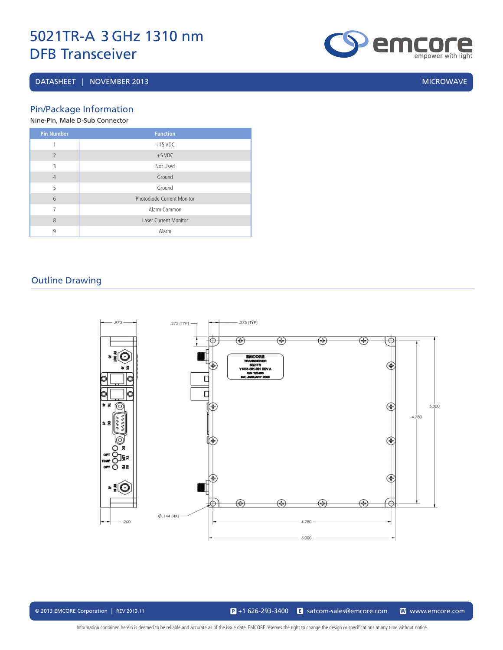#### DATASHEET | NOVEMBER 2013 | MICROWAVE | MICROWAVE | MICROWAVE | MICROWAVE | MICROWAVE

**emgore** 

Pin/Package Information

Nine-Pin, Male D-Sub Connector

| <b>Pin Number</b> | <b>Function</b>              |
|-------------------|------------------------------|
| 1                 | $+15$ VDC                    |
| $\overline{2}$    | $+5$ VDC                     |
| 3                 | Not Used                     |
| $\overline{4}$    | Ground                       |
| 5                 | Ground                       |
| 6                 | Photodiode Current Monitor   |
| 7                 | Alarm Common                 |
| 8                 | <b>Laser Current Monitor</b> |
| 9                 | Alarm                        |

### Outline Drawing